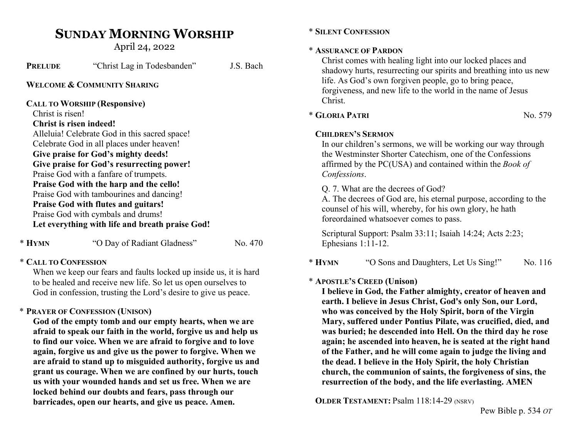# SUNDAY MORNING WORSHIP

April 24, 2022

| <b>PRELUDE</b>          | "Christ Lag in Todesbanden"                     | J.S. Bach |
|-------------------------|-------------------------------------------------|-----------|
|                         | WELCOME & COMMUNITY SHARING                     |           |
|                         | <b>CALL TO WORSHIP (Responsive)</b>             |           |
| Christ is risen!        |                                                 |           |
| Christ is risen indeed! |                                                 |           |
|                         | Alleluia! Celebrate God in this sacred space!   |           |
|                         | Celebrate God in all places under heaven!       |           |
|                         | Give praise for God's mighty deeds!             |           |
|                         | Give praise for God's resurrecting power!       |           |
|                         | Praise God with a fanfare of trumpets.          |           |
|                         | Praise God with the harp and the cello!         |           |
|                         | Praise God with tambourines and dancing!        |           |
|                         | <b>Praise God with flutes and guitars!</b>      |           |
|                         | Praise God with cymbals and drums!              |           |
|                         | Let everything with life and breath praise God! |           |
|                         |                                                 |           |

\* HYMN "O Day of Radiant Gladness" No. 470

### \* CALL TO CONFESSION

When we keep our fears and faults locked up inside us, it is hard to be healed and receive new life. So let us open ourselves to God in confession, trusting the Lord's desire to give us peace.

## \* PRAYER OF CONFESSION (UNISON)

God of the empty tomb and our empty hearts, when we are afraid to speak our faith in the world, forgive us and help us to find our voice. When we are afraid to forgive and to love again, forgive us and give us the power to forgive. When we are afraid to stand up to misguided authority, forgive us and grant us courage. When we are confined by our hurts, touch us with your wounded hands and set us free. When we are locked behind our doubts and fears, pass through our barricades, open our hearts, and give us peace. Amen.

### \* SILENT CONFESSION

### \* ASSURANCE OF PARDON

Christ comes with healing light into our locked places and shadowy hurts, resurrecting our spirits and breathing into us new life. As God's own forgiven people, go to bring peace, forgiveness, and new life to the world in the name of Jesus Christ.

# $*$  GLORIA PATRI  $N<sub>0</sub>$ , 579

### CHILDREN'S SERMON

In our children's sermons, we will be working our way through the Westminster Shorter Catechism, one of the Confessions affirmed by the PC(USA) and contained within the Book of Confessions.

Q. 7. What are the decrees of God?

A. The decrees of God are, his eternal purpose, according to the counsel of his will, whereby, for his own glory, he hath foreordained whatsoever comes to pass.

Scriptural Support: Psalm 33:11; Isaiah 14:24; Acts 2:23; Ephesians 1:11-12.

\* HYMN "O Sons and Daughters, Let Us Sing!" No. 116

# \* APOSTLE'S CREED (Unison)

I believe in God, the Father almighty, creator of heaven and earth. I believe in Jesus Christ, God's only Son, our Lord, who was conceived by the Holy Spirit, born of the Virgin Mary, suffered under Pontius Pilate, was crucified, died, and was buried; he descended into Hell. On the third day he rose again; he ascended into heaven, he is seated at the right hand of the Father, and he will come again to judge the living and the dead. I believe in the Holy Spirit, the holy Christian church, the communion of saints, the forgiveness of sins, the resurrection of the body, and the life everlasting. AMEN

OLDER TESTAMENT: Psalm 118:14-29 (NSRV)

Pew Bible p. 534 OT